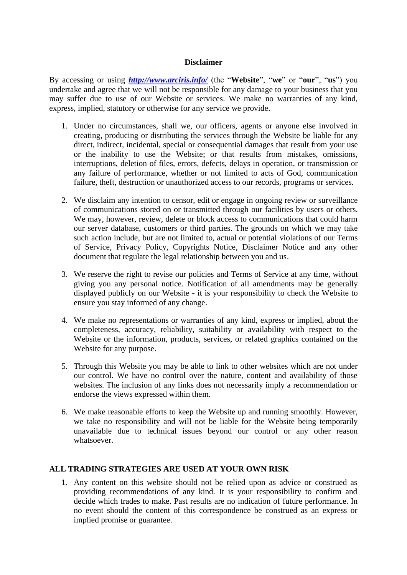## **Disclaimer**

By accessing or using *<http://www.arciris.info/>* (the "**Website**", "**we**" or "**our**", "**us**") you undertake and agree that we will not be responsible for any damage to your business that you may suffer due to use of our Website or services. We make no warranties of any kind, express, implied, statutory or otherwise for any service we provide.

- 1. Under no circumstances, shall we, our officers, agents or anyone else involved in creating, producing or distributing the services through the Website be liable for any direct, indirect, incidental, special or consequential damages that result from your use or the inability to use the Website; or that results from mistakes, omissions, interruptions, deletion of files, errors, defects, delays in operation, or transmission or any failure of performance, whether or not limited to acts of God, communication failure, theft, destruction or unauthorized access to our records, programs or services.
- 2. We disclaim any intention to censor, edit or engage in ongoing review or surveillance of communications stored on or transmitted through our facilities by users or others. We may, however, review, delete or block access to communications that could harm our server database, customers or third parties. The grounds on which we may take such action include, but are not limited to, actual or potential violations of our Terms of Service, Privacy Policy, Copyrights Notice, Disclaimer Notice and any other document that regulate the legal relationship between you and us.
- 3. We reserve the right to revise our policies and Terms of Service at any time, without giving you any personal notice. Notification of all amendments may be generally displayed publicly on our Website - it is your responsibility to check the Website to ensure you stay informed of any change.
- 4. We make no representations or warranties of any kind, express or implied, about the completeness, accuracy, reliability, suitability or availability with respect to the Website or the information, products, services, or related graphics contained on the Website for any purpose.
- 5. Through this Website you may be able to link to other websites which are not under our control. We have no control over the nature, content and availability of those websites. The inclusion of any links does not necessarily imply a recommendation or endorse the views expressed within them.
- 6. We make reasonable efforts to keep the Website up and running smoothly. However, we take no responsibility and will not be liable for the Website being temporarily unavailable due to technical issues beyond our control or any other reason whatsoever.

## **ALL TRADING STRATEGIES ARE USED AT YOUR OWN RISK**

1. Any content on this website should not be relied upon as advice or construed as providing recommendations of any kind. It is your responsibility to confirm and decide which trades to make. Past results are no indication of future performance. In no event should the content of this correspondence be construed as an express or implied promise or guarantee.